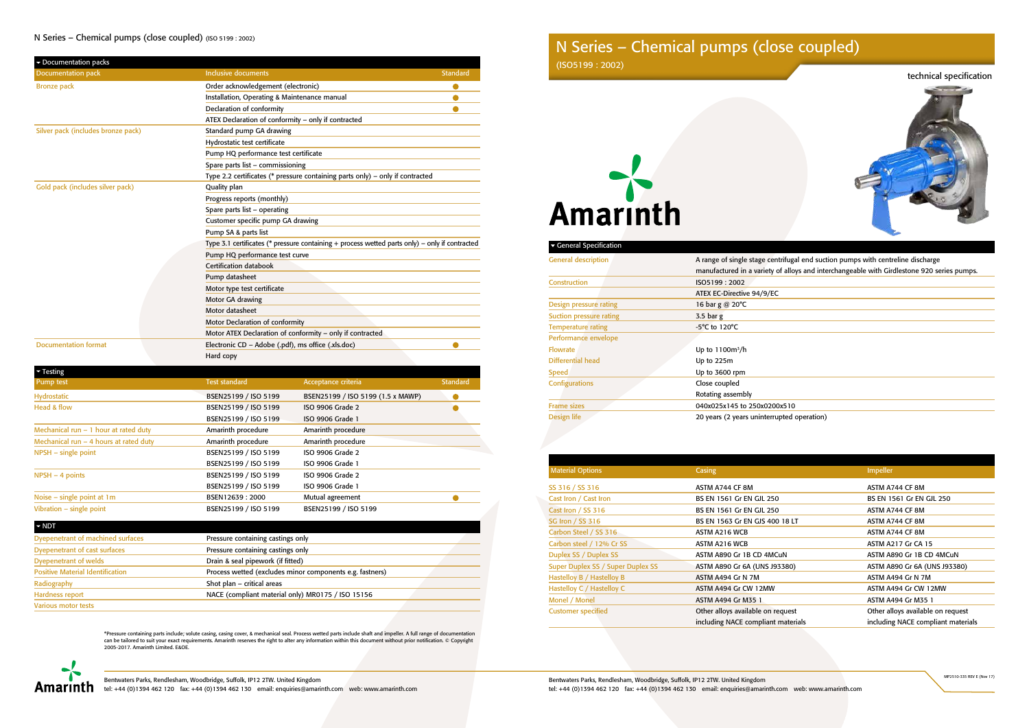# technical specification



Itrifugal end suction pumps with centreline discharge of alloys and interchangeable with Girdlestone 920 series pumps.

upted operation)

Bentwaters Parks, Rendlesham, Woodbridge, Suffolk, IP12 2TW. United Kingdom Amarinth el: +44 (0)1394 462 120 fax: +44 (0)1394 462 130 email: enquiries@amarinth.com web: www.amarinth.com

Bentwaters Parks, Rendlesham, Woodbridge, Suffolk, IP12 2TW. United Kingdom tel: +44 (0)1394 462 120 fax: +44 (0)1394 462 130 email: enquiries@amarinth.com web: www.amarinth.com

| <b>General Specification</b>   |                                    |
|--------------------------------|------------------------------------|
| <b>General description</b>     | A range of single stage centrifuga |
|                                | manufactured in a variety of alloy |
| Construction                   | ISO5199:2002                       |
|                                | ATEX EC-Directive 94/9/EC          |
| Design pressure rating         | 16 bar g @ 20°C                    |
| <b>Suction pressure rating</b> | $3.5$ bar g                        |
| <b>Temperature rating</b>      | $-5^{\circ}$ C to 120 $^{\circ}$ C |
| Performance envelope           |                                    |
| <b>Flowrate</b>                | Up to $1100m^3/h$                  |
| Differential head              | Up to 225m                         |
| <b>Speed</b>                   | Up to 3600 rpm                     |
| Configurations                 | Close coupled                      |
|                                | Rotating assembly                  |
| <b>Frame sizes</b>             | 040x025x145 to 250x0200x510        |
| Design life                    | 20 years (2 years uninterrupted o  |
|                                |                                    |

| <b>Material Options</b>           | <b>Casing</b>                      | Impeller                           |
|-----------------------------------|------------------------------------|------------------------------------|
| SS 316 / SS 316                   | ASTM A744 CF 8M                    | ASTM A744 CF 8M                    |
| Cast Iron / Cast Iron             | BS EN 1561 Gr EN GJL 250           | BS EN 1561 Gr EN GJL 250           |
| Cast Iron / SS 316                | BS EN 1561 Gr EN GJL 250           | ASTM A744 CF 8M                    |
| <b>SG Iron / SS 316</b>           | BS EN 1563 Gr EN GJS 400 18 LT     | ASTM A744 CF 8M                    |
| Carbon Steel / SS 316             | ASTM A216 WCB                      | ASTM A744 CF 8M                    |
| Carbon steel / 12% Cr SS          | ASTM A216 WCB                      | <b>ASTM A217 Gr CA 15</b>          |
| Duplex SS / Duplex SS             | ASTM A890 Gr 1B CD 4MCuN           | ASTM A890 Gr 1B CD 4MCuN           |
| Super Duplex SS / Super Duplex SS | ASTM A890 Gr 6A (UNS J93380)       | ASTM A890 Gr 6A (UNS J93380)       |
| Hastelloy B / Hastelloy B         | ASTM A494 Gr N 7M                  | ASTM A494 Gr N 7M                  |
| Hastelloy C / Hastelloy C         | ASTM A494 Gr CW 12MW               | ASTM A494 Gr CW 12MW               |
| Monel / Monel                     | <b>ASTM A494 Gr M35 1</b>          | ASTM A494 Gr M35 1                 |
| <b>Customer specified</b>         | Other alloys available on request  | Other alloys available on request  |
|                                   | including NACE compliant materials | including NACE compliant materials |

\*Pressure containing parts include; volute casing, casing cover, & mechanical seal. Process wetted parts include shaft and impeller. A full range of documentation<br>can be tailored to suit your exact requirements. Amarinth r 2005-2017. Amarinth Limited. E&OE.



# N Series - Chemical pumps (close coupled) (ISO 5199 : 2002)

| Documentation packs                |                                                                                                |  |  |
|------------------------------------|------------------------------------------------------------------------------------------------|--|--|
| <b>Documentation pack</b>          | <b>Inclusive documents</b><br><b>Standard</b>                                                  |  |  |
| <b>Bronze pack</b>                 | Order acknowledgement (electronic)                                                             |  |  |
|                                    | Installation, Operating & Maintenance manual                                                   |  |  |
|                                    | Declaration of conformity                                                                      |  |  |
|                                    | ATEX Declaration of conformity - only if contracted                                            |  |  |
| Silver pack (includes bronze pack) | Standard pump GA drawing                                                                       |  |  |
|                                    | Hydrostatic test certificate                                                                   |  |  |
|                                    | Pump HQ performance test certificate                                                           |  |  |
|                                    | Spare parts list - commissioning                                                               |  |  |
|                                    | Type 2.2 certificates (* pressure containing parts only) - only if contracted                  |  |  |
| Gold pack (includes silver pack)   | Quality plan                                                                                   |  |  |
|                                    | Progress reports (monthly)                                                                     |  |  |
|                                    | Spare parts list - operating                                                                   |  |  |
|                                    | Customer specific pump GA drawing                                                              |  |  |
|                                    | Pump SA & parts list                                                                           |  |  |
|                                    | Type 3.1 certificates (* pressure containing + process wetted parts only) – only if contracted |  |  |
|                                    | Pump HQ performance test curve                                                                 |  |  |
|                                    | Certification databook                                                                         |  |  |
|                                    | Pump datasheet                                                                                 |  |  |
|                                    | Motor type test certificate                                                                    |  |  |
|                                    | Motor GA drawing                                                                               |  |  |
|                                    | Motor datasheet                                                                                |  |  |
|                                    | Motor Declaration of conformity                                                                |  |  |
|                                    | Motor ATEX Declaration of conformity - only if contracted                                      |  |  |
| <b>Documentation format</b>        | Electronic CD - Adobe (.pdf), ms office (.xls.doc)                                             |  |  |
|                                    | Hard copy                                                                                      |  |  |

| $\blacktriangleright$ Testing            |                      |                                   |                 |
|------------------------------------------|----------------------|-----------------------------------|-----------------|
| Pump test                                | <b>Test standard</b> | Acceptance criteria               | <b>Standard</b> |
| Hydrostatic                              | BSEN25199 / ISO 5199 | BSEN25199 / ISO 5199 (1.5 x MAWP) |                 |
| Head & flow                              | BSEN25199 / ISO 5199 | ISO 9906 Grade 2                  |                 |
|                                          | BSEN25199 / ISO 5199 | ISO 9906 Grade 1                  |                 |
| Mechanical run $-1$ hour at rated duty   | Amarinth procedure   | Amarinth procedure                |                 |
| Mechanical run $-$ 4 hours at rated duty | Amarinth procedure   | Amarinth procedure                |                 |
| $NPSH - single point$                    | BSEN25199 / ISO 5199 | ISO 9906 Grade 2                  |                 |
|                                          | BSEN25199 / ISO 5199 | ISO 9906 Grade 1                  |                 |
| $NPSH - 4 points$                        | BSEN25199 / ISO 5199 | ISO 9906 Grade 2                  |                 |
|                                          | BSEN25199 / ISO 5199 | ISO 9906 Grade 1                  |                 |
| Noise $-$ single point at 1m             | BSEN12639:2000       | Mutual agreement                  |                 |
| Vibration $-$ single point               | BSEN25199 / ISO 5199 | BSEN25199 / ISO 5199              |                 |

| $\blacktriangleright$ NDT               |                                                          |  |
|-----------------------------------------|----------------------------------------------------------|--|
| Dyepenetrant of machined surfaces       | Pressure containing castings only                        |  |
| Dyepenetrant of cast surfaces           | Pressure containing castings only                        |  |
| <b>Dyepenetrant of welds</b>            | Drain & seal pipework (if fitted)                        |  |
| <b>Positive Material Identification</b> | Process wetted (excludes minor components e.g. fastners) |  |
| Radiography                             | Shot plan - critical areas                               |  |
| Hardness report                         | NACE (compliant material only) MR0175 / ISO 15156        |  |
| <b>Various motor tests</b>              |                                                          |  |

# N Series – Chemical pumps (close coupled) (ISO5199 : 2002)

# Amarinth